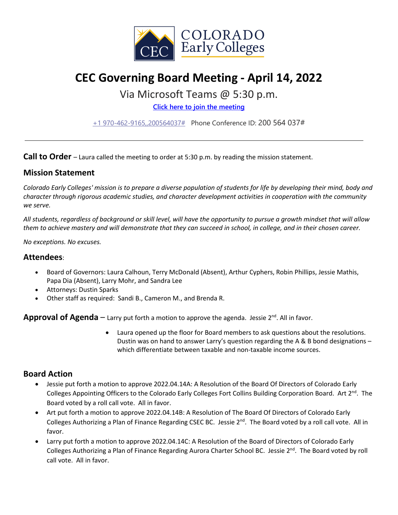

# **CEC Governing Board Meeting - April 14, 2022**

# Via Microsoft Teams @ 5:30 p.m.

**[Click here to join the meeting](https://teams.microsoft.com/l/meetup-join/19%3ameeting_MjhhYzhkMmItMmZjZS00YjdmLTg1YzgtNzM1OGQxNzEwNzI0%40thread.v2/0?context=%7b%22Tid%22%3a%22756e5b19-b4c4-4dc1-ae63-693179768af4%22%2c%22Oid%22%3a%22ffbf9d26-5ca2-4104-9e70-09b8cf3093f9%22%7d)**

[+1 970-462-9165,,200564037#](tel:+19704629165,,200564037#%20) Phone Conference ID: 200 564 037#

**Call to Order** – Laura called the meeting to order at 5:30 p.m. by reading the mission statement.

#### **Mission Statement**

*Colorado Early Colleges' mission is to prepare a diverse population of students for life by developing their mind, body and character through rigorous academic studies, and character development activities in cooperation with the community we serve.*

*All students, regardless of background or skill level, will have the opportunity to pursue a growth mindset that will allow them to achieve mastery and will demonstrate that they can succeed in school, in college, and in their chosen career.*

*No exceptions. No excuses.*

#### **Attendees**:

- Board of Governors: Laura Calhoun, Terry McDonald (Absent), Arthur Cyphers, Robin Phillips, Jessie Mathis, Papa Dia (Absent), Larry Mohr, and Sandra Lee
- Attorneys: Dustin Sparks
- Other staff as required: Sandi B., Cameron M., and Brenda R.

**Approval of Agenda**  $-$  Larry put forth a motion to approve the agenda. Jessie  $2^{nd}$ . All in favor.

• Laura opened up the floor for Board members to ask questions about the resolutions. Dustin was on hand to answer Larry's question regarding the A & B bond designations – which differentiate between taxable and non-taxable income sources.

### **Board Action**

- Jessie put forth a motion to approve 2022.04.14A: A Resolution of the Board Of Directors of Colorado Early Colleges Appointing Officers to the Colorado Early Colleges Fort Collins Building Corporation Board. Art 2<sup>nd</sup>. The Board voted by a roll call vote. All in favor.
- Art put forth a motion to approve 2022.04.14B: A Resolution of The Board Of Directors of Colorado Early Colleges Authorizing a Plan of Finance Regarding CSEC BC. Jessie 2<sup>nd</sup>. The Board voted by a roll call vote. All in favor.
- Larry put forth a motion to approve 2022.04.14C: A Resolution of the Board of Directors of Colorado Early Colleges Authorizing a Plan of Finance Regarding Aurora Charter School BC. Jessie 2<sup>nd</sup>. The Board voted by roll call vote. All in favor.